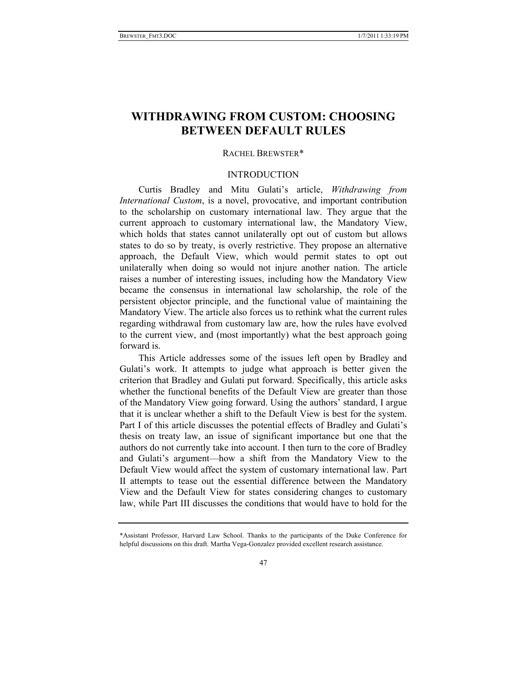# **WITHDRAWING FROM CUSTOM: CHOOSING BETWEEN DEFAULT RULES**

## RACHEL BREWSTER\*

## INTRODUCTION

Curtis Bradley and Mitu Gulati's article, *Withdrawing from International Custom*, is a novel, provocative, and important contribution to the scholarship on customary international law. They argue that the current approach to customary international law, the Mandatory View, which holds that states cannot unilaterally opt out of custom but allows states to do so by treaty, is overly restrictive. They propose an alternative approach, the Default View, which would permit states to opt out unilaterally when doing so would not injure another nation. The article raises a number of interesting issues, including how the Mandatory View became the consensus in international law scholarship, the role of the persistent objector principle, and the functional value of maintaining the Mandatory View. The article also forces us to rethink what the current rules regarding withdrawal from customary law are, how the rules have evolved to the current view, and (most importantly) what the best approach going forward is.

This Article addresses some of the issues left open by Bradley and Gulati's work. It attempts to judge what approach is better given the criterion that Bradley and Gulati put forward. Specifically, this article asks whether the functional benefits of the Default View are greater than those of the Mandatory View going forward. Using the authors' standard, I argue that it is unclear whether a shift to the Default View is best for the system. Part I of this article discusses the potential effects of Bradley and Gulati's thesis on treaty law, an issue of significant importance but one that the authors do not currently take into account. I then turn to the core of Bradley and Gulati's argument—how a shift from the Mandatory View to the Default View would affect the system of customary international law. Part II attempts to tease out the essential difference between the Mandatory View and the Default View for states considering changes to customary law, while Part III discusses the conditions that would have to hold for the

<sup>\*</sup>Assistant Professor, Harvard Law School. Thanks to the participants of the Duke Conference for helpful discussions on this draft. Martha Vega-Gonzalez provided excellent research assistance.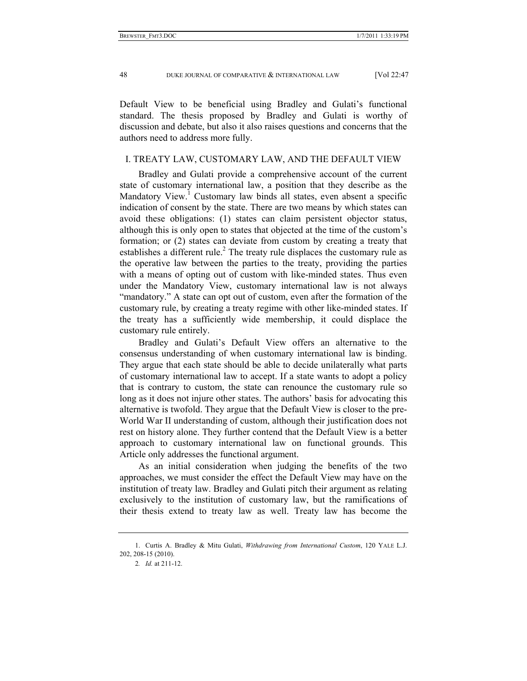48 DUKE JOURNAL OF COMPARATIVE & INTERNATIONAL LAW [Vol 22:47

Default View to be beneficial using Bradley and Gulati's functional standard. The thesis proposed by Bradley and Gulati is worthy of discussion and debate, but also it also raises questions and concerns that the authors need to address more fully.

#### I. TREATY LAW, CUSTOMARY LAW, AND THE DEFAULT VIEW

Bradley and Gulati provide a comprehensive account of the current state of customary international law, a position that they describe as the Mandatory View.<sup>1</sup> Customary law binds all states, even absent a specific indication of consent by the state. There are two means by which states can avoid these obligations: (1) states can claim persistent objector status, although this is only open to states that objected at the time of the custom's formation; or (2) states can deviate from custom by creating a treaty that establishes a different rule.<sup>2</sup> The treaty rule displaces the customary rule as the operative law between the parties to the treaty, providing the parties with a means of opting out of custom with like-minded states. Thus even under the Mandatory View, customary international law is not always "mandatory." A state can opt out of custom, even after the formation of the customary rule, by creating a treaty regime with other like-minded states. If the treaty has a sufficiently wide membership, it could displace the customary rule entirely.

Bradley and Gulati's Default View offers an alternative to the consensus understanding of when customary international law is binding. They argue that each state should be able to decide unilaterally what parts of customary international law to accept. If a state wants to adopt a policy that is contrary to custom, the state can renounce the customary rule so long as it does not injure other states. The authors' basis for advocating this alternative is twofold. They argue that the Default View is closer to the pre-World War II understanding of custom, although their justification does not rest on history alone. They further contend that the Default View is a better approach to customary international law on functional grounds. This Article only addresses the functional argument.

As an initial consideration when judging the benefits of the two approaches, we must consider the effect the Default View may have on the institution of treaty law. Bradley and Gulati pitch their argument as relating exclusively to the institution of customary law, but the ramifications of their thesis extend to treaty law as well. Treaty law has become the

 <sup>1.</sup> Curtis A. Bradley & Mitu Gulati, *Withdrawing from International Custom*, 120 YALE L.J. 202, 208-15 (2010).

<sup>2</sup>*. Id.* at 211-12.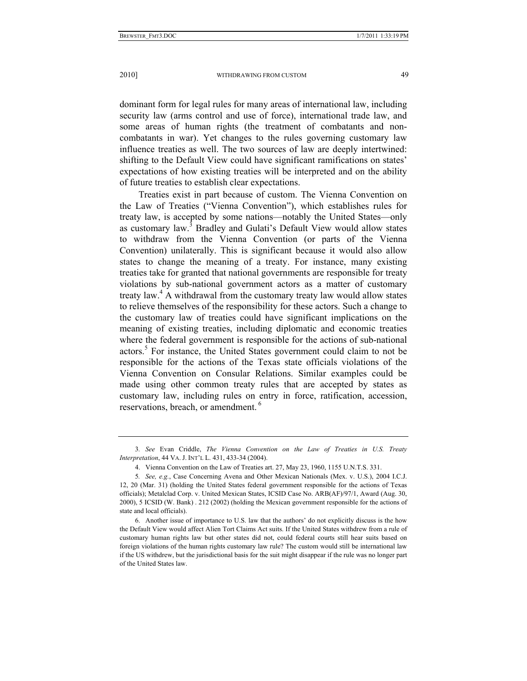dominant form for legal rules for many areas of international law, including security law (arms control and use of force), international trade law, and some areas of human rights (the treatment of combatants and noncombatants in war). Yet changes to the rules governing customary law influence treaties as well. The two sources of law are deeply intertwined: shifting to the Default View could have significant ramifications on states' expectations of how existing treaties will be interpreted and on the ability of future treaties to establish clear expectations.

Treaties exist in part because of custom. The Vienna Convention on the Law of Treaties ("Vienna Convention"), which establishes rules for treaty law, is accepted by some nations—notably the United States—only as customary law. $3$  Bradley and Gulati's Default View would allow states to withdraw from the Vienna Convention (or parts of the Vienna Convention) unilaterally. This is significant because it would also allow states to change the meaning of a treaty. For instance, many existing treaties take for granted that national governments are responsible for treaty violations by sub-national government actors as a matter of customary treaty law.<sup>4</sup> A withdrawal from the customary treaty law would allow states to relieve themselves of the responsibility for these actors. Such a change to the customary law of treaties could have significant implications on the meaning of existing treaties, including diplomatic and economic treaties where the federal government is responsible for the actions of sub-national actors.<sup>5</sup> For instance, the United States government could claim to not be responsible for the actions of the Texas state officials violations of the Vienna Convention on Consular Relations. Similar examples could be made using other common treaty rules that are accepted by states as customary law, including rules on entry in force, ratification, accession, reservations, breach, or amendment.<sup>6</sup>

<sup>3</sup>*. See* Evan Criddle, *The Vienna Convention on the Law of Treaties in U.S. Treaty Interpretation*, 44 VA. J. INT'L L. 431, 433-34 (2004).

 <sup>4.</sup> Vienna Convention on the Law of Treaties art. 27, May 23, 1960, 1155 U.N.T.S. 331.

<sup>5</sup>*. See, e.g.*, Case Concerning Avena and Other Mexican Nationals (Mex. v. U.S.), 2004 I.C.J. 12, 20 (Mar. 31) (holding the United States federal government responsible for the actions of Texas officials); Metalclad Corp. v. United Mexican States, ICSID Case No. ARB(AF)/97/1, Award (Aug. 30, 2000), 5 ICSID (W. Bank) . 212 (2002) (holding the Mexican government responsible for the actions of state and local officials).

 <sup>6.</sup> Another issue of importance to U.S. law that the authors' do not explicitly discuss is the how the Default View would affect Alien Tort Claims Act suits. If the United States withdrew from a rule of customary human rights law but other states did not, could federal courts still hear suits based on foreign violations of the human rights customary law rule? The custom would still be international law if the US withdrew, but the jurisdictional basis for the suit might disappear if the rule was no longer part of the United States law.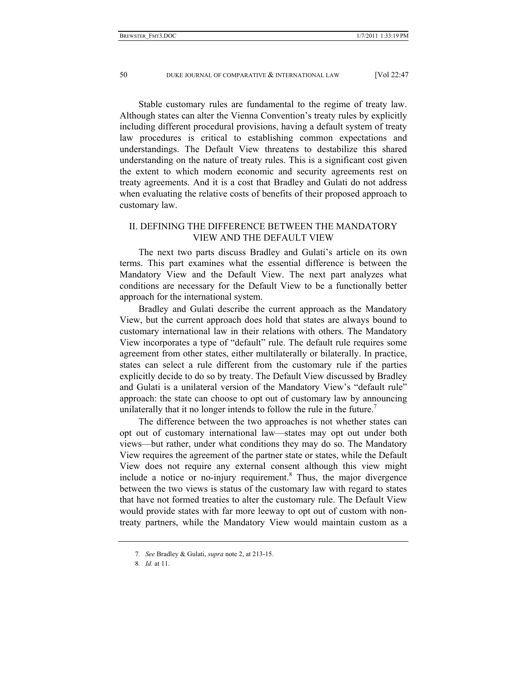Stable customary rules are fundamental to the regime of treaty law. Although states can alter the Vienna Convention's treaty rules by explicitly including different procedural provisions, having a default system of treaty law procedures is critical to establishing common expectations and understandings. The Default View threatens to destabilize this shared understanding on the nature of treaty rules. This is a significant cost given the extent to which modern economic and security agreements rest on treaty agreements. And it is a cost that Bradley and Gulati do not address when evaluating the relative costs of benefits of their proposed approach to customary law.

## II. DEFINING THE DIFFERENCE BETWEEN THE MANDATORY VIEW AND THE DEFAULT VIEW

The next two parts discuss Bradley and Gulati's article on its own terms. This part examines what the essential difference is between the Mandatory View and the Default View. The next part analyzes what conditions are necessary for the Default View to be a functionally better approach for the international system.

Bradley and Gulati describe the current approach as the Mandatory View, but the current approach does hold that states are always bound to customary international law in their relations with others. The Mandatory View incorporates a type of "default" rule. The default rule requires some agreement from other states, either multilaterally or bilaterally. In practice, states can select a rule different from the customary rule if the parties explicitly decide to do so by treaty. The Default View discussed by Bradley and Gulati is a unilateral version of the Mandatory View's "default rule" approach: the state can choose to opt out of customary law by announcing unilaterally that it no longer intends to follow the rule in the future.<sup>7</sup>

The difference between the two approaches is not whether states can opt out of customary international law—states may opt out under both views—but rather, under what conditions they may do so. The Mandatory View requires the agreement of the partner state or states, while the Default View does not require any external consent although this view might include a notice or no-injury requirement.<sup>8</sup> Thus, the major divergence between the two views is status of the customary law with regard to states that have not formed treaties to alter the customary rule. The Default View would provide states with far more leeway to opt out of custom with nontreaty partners, while the Mandatory View would maintain custom as a

<sup>7</sup>*. See* Bradley & Gulati, *supra* note 2, at 213-15.

<sup>8</sup>*. Id.* at 11.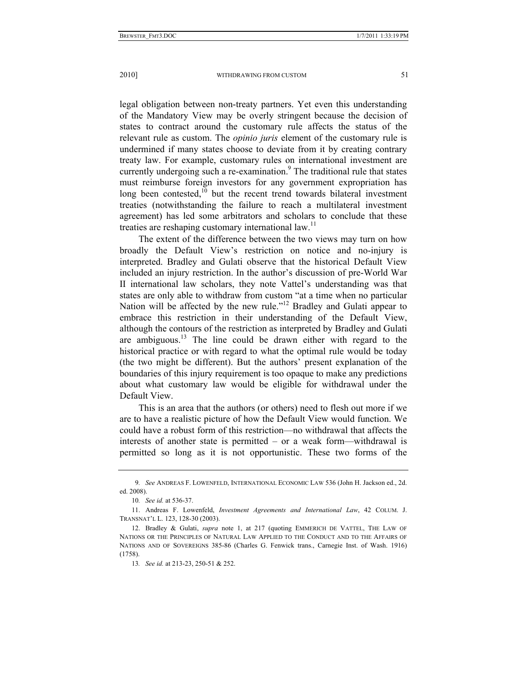legal obligation between non-treaty partners. Yet even this understanding of the Mandatory View may be overly stringent because the decision of states to contract around the customary rule affects the status of the relevant rule as custom. The *opinio juris* element of the customary rule is undermined if many states choose to deviate from it by creating contrary treaty law. For example, customary rules on international investment are currently undergoing such a re-examination.<sup>9</sup> The traditional rule that states must reimburse foreign investors for any government expropriation has long been contested, $10$  but the recent trend towards bilateral investment treaties (notwithstanding the failure to reach a multilateral investment agreement) has led some arbitrators and scholars to conclude that these treaties are reshaping customary international law.<sup>11</sup>

The extent of the difference between the two views may turn on how broadly the Default View's restriction on notice and no-injury is interpreted. Bradley and Gulati observe that the historical Default View included an injury restriction. In the author's discussion of pre-World War II international law scholars, they note Vattel's understanding was that states are only able to withdraw from custom "at a time when no particular Nation will be affected by the new rule."<sup>12</sup> Bradley and Gulati appear to embrace this restriction in their understanding of the Default View, although the contours of the restriction as interpreted by Bradley and Gulati are ambiguous.<sup>13</sup> The line could be drawn either with regard to the historical practice or with regard to what the optimal rule would be today (the two might be different). But the authors' present explanation of the boundaries of this injury requirement is too opaque to make any predictions about what customary law would be eligible for withdrawal under the Default View.

This is an area that the authors (or others) need to flesh out more if we are to have a realistic picture of how the Default View would function. We could have a robust form of this restriction—no withdrawal that affects the interests of another state is permitted – or a weak form—withdrawal is permitted so long as it is not opportunistic. These two forms of the

<sup>9</sup>*. See* ANDREAS F. LOWENFELD, INTERNATIONAL ECONOMIC LAW 536 (John H. Jackson ed., 2d. ed. 2008).

<sup>10</sup>*. See id.* at 536-37.

 <sup>11.</sup> Andreas F. Lowenfeld, *Investment Agreements and International Law*, 42 COLUM. J. TRANSNAT'L L. 123, 128-30 (2003).

 <sup>12.</sup> Bradley & Gulati, *supra* note 1, at 217 (quoting EMMERICH DE VATTEL, THE LAW OF NATIONS OR THE PRINCIPLES OF NATURAL LAW APPLIED TO THE CONDUCT AND TO THE AFFAIRS OF NATIONS AND OF SOVEREIGNS 385-86 (Charles G. Fenwick trans., Carnegie Inst. of Wash. 1916) (1758).

<sup>13</sup>*. See id.* at 213-23, 250-51 & 252.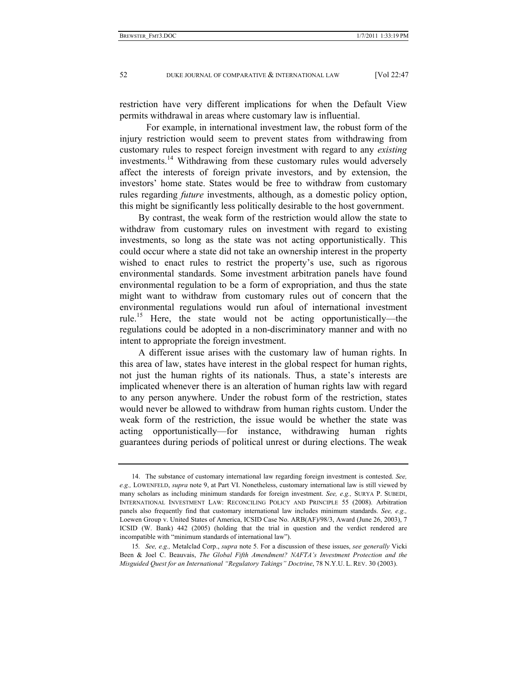restriction have very different implications for when the Default View permits withdrawal in areas where customary law is influential.

 For example, in international investment law, the robust form of the injury restriction would seem to prevent states from withdrawing from customary rules to respect foreign investment with regard to any *existing* investments.<sup>14</sup> Withdrawing from these customary rules would adversely affect the interests of foreign private investors, and by extension, the investors' home state. States would be free to withdraw from customary rules regarding *future* investments, although, as a domestic policy option, this might be significantly less politically desirable to the host government.

By contrast, the weak form of the restriction would allow the state to withdraw from customary rules on investment with regard to existing investments, so long as the state was not acting opportunistically. This could occur where a state did not take an ownership interest in the property wished to enact rules to restrict the property's use, such as rigorous environmental standards. Some investment arbitration panels have found environmental regulation to be a form of expropriation, and thus the state might want to withdraw from customary rules out of concern that the environmental regulations would run afoul of international investment rule.15 Here, the state would not be acting opportunistically—the regulations could be adopted in a non-discriminatory manner and with no intent to appropriate the foreign investment.

A different issue arises with the customary law of human rights. In this area of law, states have interest in the global respect for human rights, not just the human rights of its nationals. Thus, a state's interests are implicated whenever there is an alteration of human rights law with regard to any person anywhere. Under the robust form of the restriction, states would never be allowed to withdraw from human rights custom. Under the weak form of the restriction, the issue would be whether the state was acting opportunistically—for instance, withdrawing human rights guarantees during periods of political unrest or during elections. The weak

 <sup>14.</sup> The substance of customary international law regarding foreign investment is contested. *See, e.g.,* LOWENFELD, *supra* note 9, at Part VI. Nonetheless, customary international law is still viewed by many scholars as including minimum standards for foreign investment. *See, e.g.,* SURYA P. SUBEDI, INTERNATIONAL INVESTMENT LAW: RECONCILING POLICY AND PRINCIPLE 55 (2008). Arbitration panels also frequently find that customary international law includes minimum standards. *See, e.g.,* Loewen Group v. United States of America, ICSID Case No. ARB(AF)/98/3, Award (June 26, 2003), 7 ICSID (W. Bank) 442 (2005) (holding that the trial in question and the verdict rendered are incompatible with "minimum standards of international law").

<sup>15</sup>*. See, e.g.,* Metalclad Corp., *supra* note 5. For a discussion of these issues, *see generally* Vicki Been & Joel C. Beauvais, *The Global Fifth Amendment? NAFTA's Investment Protection and the Misguided Quest for an International "Regulatory Takings" Doctrine*, 78 N.Y.U. L. REV. 30 (2003).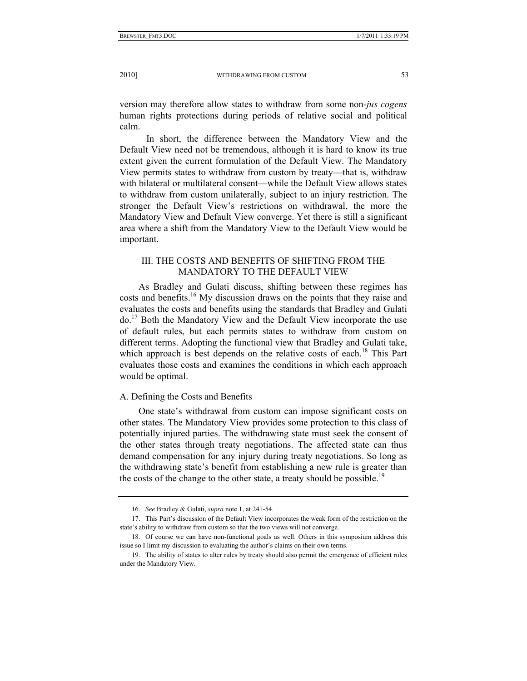version may therefore allow states to withdraw from some non-*jus cogens* human rights protections during periods of relative social and political calm.

 In short, the difference between the Mandatory View and the Default View need not be tremendous, although it is hard to know its true extent given the current formulation of the Default View. The Mandatory View permits states to withdraw from custom by treaty—that is, withdraw with bilateral or multilateral consent—while the Default View allows states to withdraw from custom unilaterally, subject to an injury restriction. The stronger the Default View's restrictions on withdrawal, the more the Mandatory View and Default View converge. Yet there is still a significant area where a shift from the Mandatory View to the Default View would be important.

## III. THE COSTS AND BENEFITS OF SHIFTING FROM THE MANDATORY TO THE DEFAULT VIEW

As Bradley and Gulati discuss, shifting between these regimes has costs and benefits.<sup>16</sup> My discussion draws on the points that they raise and evaluates the costs and benefits using the standards that Bradley and Gulati do.17 Both the Mandatory View and the Default View incorporate the use of default rules, but each permits states to withdraw from custom on different terms. Adopting the functional view that Bradley and Gulati take, which approach is best depends on the relative costs of each.<sup>18</sup> This Part evaluates those costs and examines the conditions in which each approach would be optimal.

## A. Defining the Costs and Benefits

One state's withdrawal from custom can impose significant costs on other states. The Mandatory View provides some protection to this class of potentially injured parties. The withdrawing state must seek the consent of the other states through treaty negotiations. The affected state can thus demand compensation for any injury during treaty negotiations. So long as the withdrawing state's benefit from establishing a new rule is greater than the costs of the change to the other state, a treaty should be possible.<sup>19</sup>

 <sup>16.</sup> *See* Bradley & Gulati, *supra* note 1, at 241-54.

 <sup>17.</sup> This Part's discussion of the Default View incorporates the weak form of the restriction on the state's ability to withdraw from custom so that the two views will not converge.

 <sup>18.</sup> Of course we can have non-functional goals as well. Others in this symposium address this issue so I limit my discussion to evaluating the author's claims on their own terms.

 <sup>19.</sup> The ability of states to alter rules by treaty should also permit the emergence of efficient rules under the Mandatory View.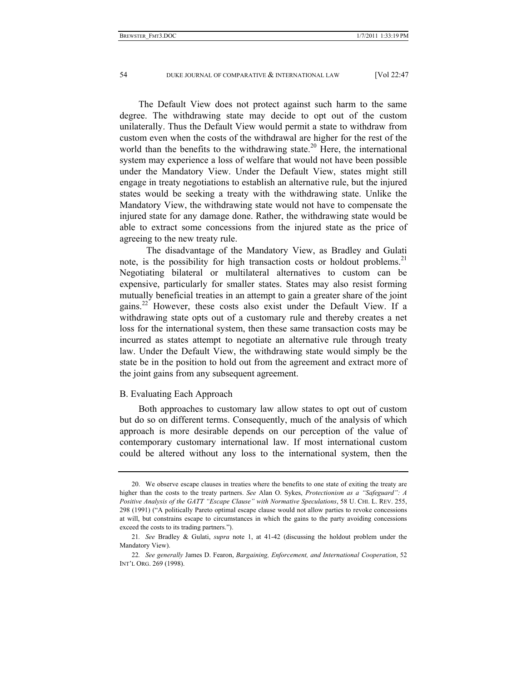The Default View does not protect against such harm to the same degree. The withdrawing state may decide to opt out of the custom unilaterally. Thus the Default View would permit a state to withdraw from custom even when the costs of the withdrawal are higher for the rest of the world than the benefits to the withdrawing state.<sup>20</sup> Here, the international system may experience a loss of welfare that would not have been possible under the Mandatory View. Under the Default View, states might still engage in treaty negotiations to establish an alternative rule, but the injured states would be seeking a treaty with the withdrawing state. Unlike the Mandatory View, the withdrawing state would not have to compensate the injured state for any damage done. Rather, the withdrawing state would be able to extract some concessions from the injured state as the price of agreeing to the new treaty rule.

 The disadvantage of the Mandatory View, as Bradley and Gulati note, is the possibility for high transaction costs or holdout problems.<sup>21</sup> Negotiating bilateral or multilateral alternatives to custom can be expensive, particularly for smaller states. States may also resist forming mutually beneficial treaties in an attempt to gain a greater share of the joint gains.22 However, these costs also exist under the Default View. If a withdrawing state opts out of a customary rule and thereby creates a net loss for the international system, then these same transaction costs may be incurred as states attempt to negotiate an alternative rule through treaty law. Under the Default View, the withdrawing state would simply be the state be in the position to hold out from the agreement and extract more of the joint gains from any subsequent agreement.

#### B. Evaluating Each Approach

Both approaches to customary law allow states to opt out of custom but do so on different terms. Consequently, much of the analysis of which approach is more desirable depends on our perception of the value of contemporary customary international law. If most international custom could be altered without any loss to the international system, then the

 <sup>20.</sup> We observe escape clauses in treaties where the benefits to one state of exiting the treaty are higher than the costs to the treaty partners. *See* Alan O. Sykes, *Protectionism as a "Safeguard": A Positive Analysis of the GATT "Escape Clause" with Normative Speculations*, 58 U. CHI. L. REV. 255, 298 (1991) ("A politically Pareto optimal escape clause would not allow parties to revoke concessions at will, but constrains escape to circumstances in which the gains to the party avoiding concessions exceed the costs to its trading partners.").

<sup>21</sup>*. See* Bradley & Gulati, *supra* note 1, at 41-42 (discussing the holdout problem under the Mandatory View).

<sup>22</sup>*. See generally* James D. Fearon, *Bargaining, Enforcement, and International Cooperation*, 52 INT'L ORG. 269 (1998).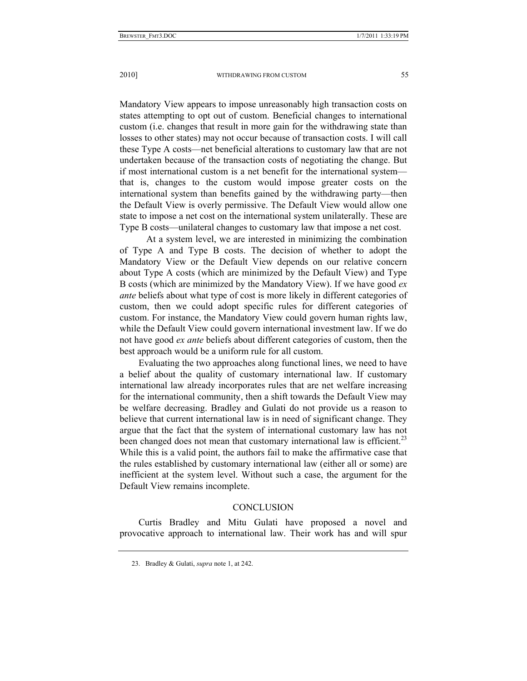Mandatory View appears to impose unreasonably high transaction costs on states attempting to opt out of custom. Beneficial changes to international custom (i.e. changes that result in more gain for the withdrawing state than losses to other states) may not occur because of transaction costs. I will call these Type A costs—net beneficial alterations to customary law that are not undertaken because of the transaction costs of negotiating the change. But

if most international custom is a net benefit for the international system that is, changes to the custom would impose greater costs on the international system than benefits gained by the withdrawing party—then the Default View is overly permissive. The Default View would allow one state to impose a net cost on the international system unilaterally. These are Type B costs—unilateral changes to customary law that impose a net cost.

 At a system level, we are interested in minimizing the combination of Type A and Type B costs. The decision of whether to adopt the Mandatory View or the Default View depends on our relative concern about Type A costs (which are minimized by the Default View) and Type B costs (which are minimized by the Mandatory View). If we have good *ex ante* beliefs about what type of cost is more likely in different categories of custom, then we could adopt specific rules for different categories of custom. For instance, the Mandatory View could govern human rights law, while the Default View could govern international investment law. If we do not have good *ex ante* beliefs about different categories of custom, then the best approach would be a uniform rule for all custom.

Evaluating the two approaches along functional lines, we need to have a belief about the quality of customary international law. If customary international law already incorporates rules that are net welfare increasing for the international community, then a shift towards the Default View may be welfare decreasing. Bradley and Gulati do not provide us a reason to believe that current international law is in need of significant change. They argue that the fact that the system of international customary law has not been changed does not mean that customary international law is efficient.<sup>23</sup> While this is a valid point, the authors fail to make the affirmative case that the rules established by customary international law (either all or some) are inefficient at the system level. Without such a case, the argument for the Default View remains incomplete.

## **CONCLUSION**

Curtis Bradley and Mitu Gulati have proposed a novel and provocative approach to international law. Their work has and will spur

 <sup>23.</sup> Bradley & Gulati, *supra* note 1, at 242.